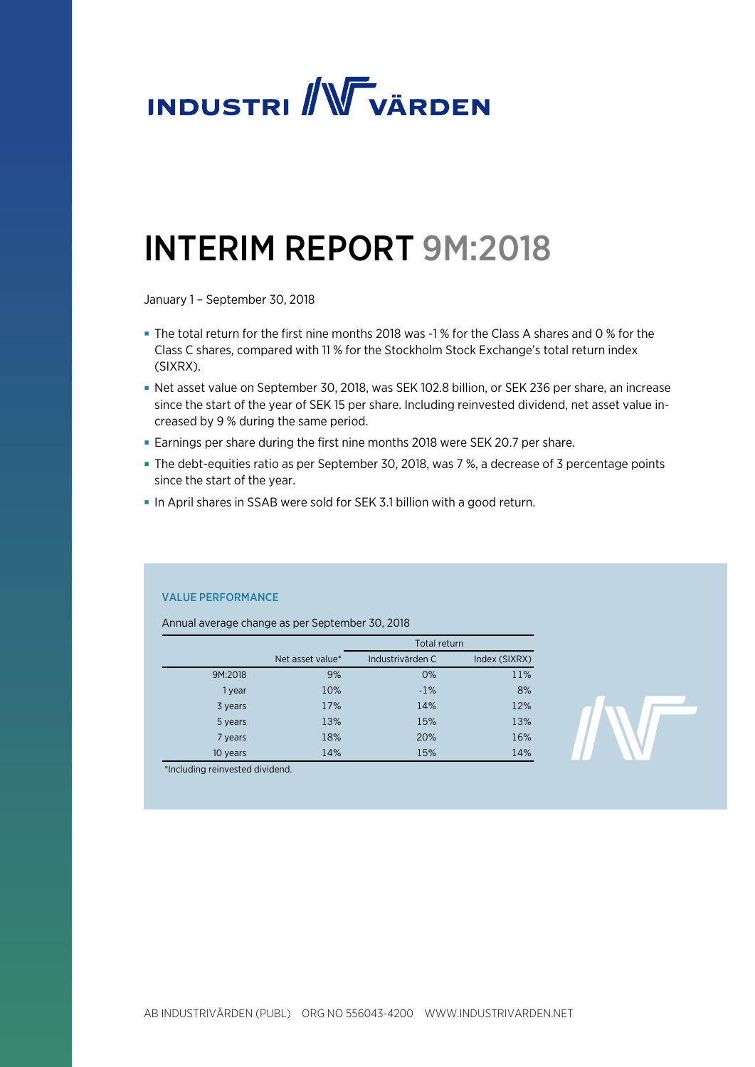

# INTERIM REPORT 9M:2018

January 1 – September 30, 2018

- The total return for the first nine months 2018 was -1 % for the Class A shares and 0 % for the Class C shares, compared with 11 % for the Stockholm Stock Exchange's total return index (SIXRX).
- Net asset value on September 30, 2018, was SEK 102.8 billion, or SEK 236 per share, an increase since the start of the year of SEK 15 per share. Including reinvested dividend, net asset value increased by 9 % during the same period.
- Earnings per share during the first nine months 2018 were SEK 20.7 per share.
- The debt-equities ratio as per September 30, 2018, was 7 %, a decrease of 3 percentage points since the start of the year.
- In April shares in SSAB were sold for SEK 3.1 billion with a good return.

# VALUE PERFORMANCE

Annual average change as per September 30, 2018

|          |                  | <b>Total return</b> |               |  |  |
|----------|------------------|---------------------|---------------|--|--|
|          | Net asset value* | Industrivärden C    | Index (SIXRX) |  |  |
| 9M:2018  | 9%               | 0%                  | 11%           |  |  |
| 1 year   | 10%              | $-1%$               | 8%            |  |  |
| 3 years  | 17%              | 14%                 | 12%           |  |  |
| 5 years  | 13%              | 15%                 | 13%           |  |  |
| 7 years  | 18%              | 20%                 | 16%           |  |  |
| 10 years | 14%              | 15%                 | 14%           |  |  |

\*Including reinvested dividend.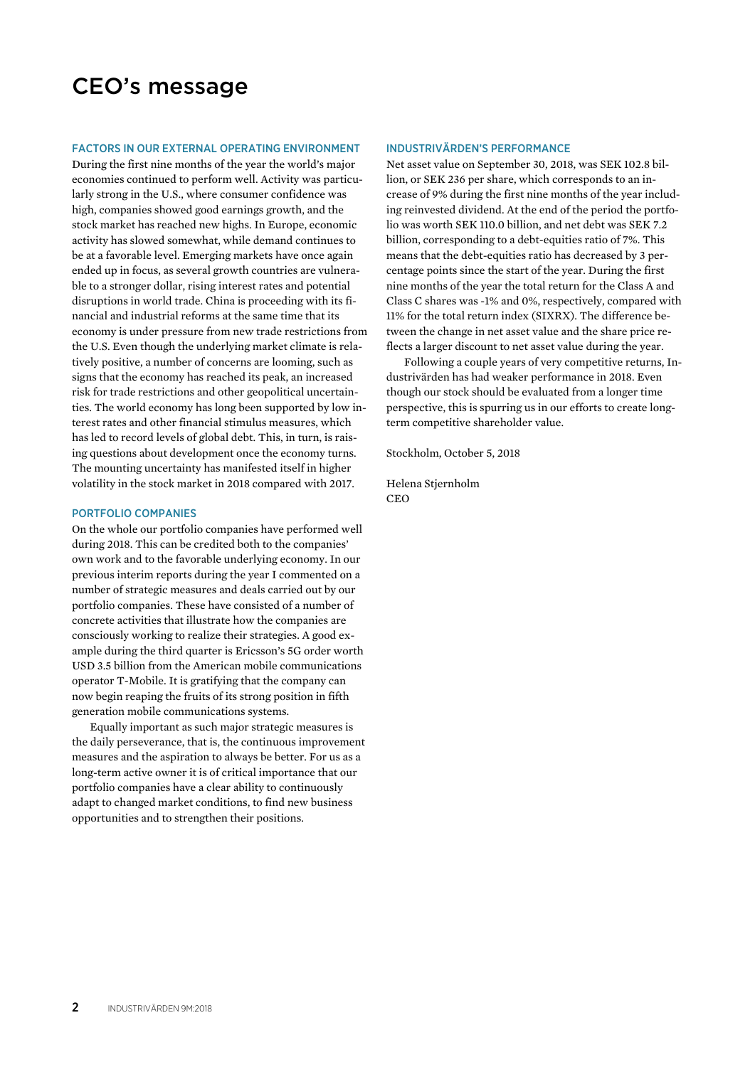# CEO's message

#### FACTORS IN OUR EXTERNAL OPERATING ENVIRONMENT

During the first nine months of the year the world's major economies continued to perform well. Activity was particularly strong in the U.S., where consumer confidence was high, companies showed good earnings growth, and the stock market has reached new highs. In Europe, economic activity has slowed somewhat, while demand continues to be at a favorable level. Emerging markets have once again ended up in focus, as several growth countries are vulnerable to a stronger dollar, rising interest rates and potential disruptions in world trade. China is proceeding with its financial and industrial reforms at the same time that its economy is under pressure from new trade restrictions from the U.S. Even though the underlying market climate is relatively positive, a number of concerns are looming, such as signs that the economy has reached its peak, an increased risk for trade restrictions and other geopolitical uncertainties. The world economy has long been supported by low interest rates and other financial stimulus measures, which has led to record levels of global debt. This, in turn, is raising questions about development once the economy turns. The mounting uncertainty has manifested itself in higher volatility in the stock market in 2018 compared with 2017.

### PORTFOLIO COMPANIES

On the whole our portfolio companies have performed well during 2018. This can be credited both to the companies' own work and to the favorable underlying economy. In our previous interim reports during the year I commented on a number of strategic measures and deals carried out by our portfolio companies. These have consisted of a number of concrete activities that illustrate how the companies are consciously working to realize their strategies. A good example during the third quarter is Ericsson's 5G order worth USD 3.5 billion from the American mobile communications operator T-Mobile. It is gratifying that the company can now begin reaping the fruits of its strong position in fifth generation mobile communications systems.

Equally important as such major strategic measures is the daily perseverance, that is, the continuous improvement measures and the aspiration to always be better. For us as a long-term active owner it is of critical importance that our portfolio companies have a clear ability to continuously adapt to changed market conditions, to find new business opportunities and to strengthen their positions.

#### INDUSTRIVÄRDEN'S PERFORMANCE

Net asset value on September 30, 2018, was SEK 102.8 billion, or SEK 236 per share, which corresponds to an increase of 9% during the first nine months of the year including reinvested dividend. At the end of the period the portfolio was worth SEK 110.0 billion, and net debt was SEK 7.2 billion, corresponding to a debt-equities ratio of 7%. This means that the debt-equities ratio has decreased by 3 percentage points since the start of the year. During the first nine months of the year the total return for the Class A and Class C shares was -1% and 0%, respectively, compared with 11% for the total return index (SIXRX). The difference between the change in net asset value and the share price reflects a larger discount to net asset value during the year.

Following a couple years of very competitive returns, Industrivärden has had weaker performance in 2018. Even though our stock should be evaluated from a longer time perspective, this is spurring us in our efforts to create longterm competitive shareholder value.

Stockholm, October 5, 2018

Helena Stjernholm **CEO**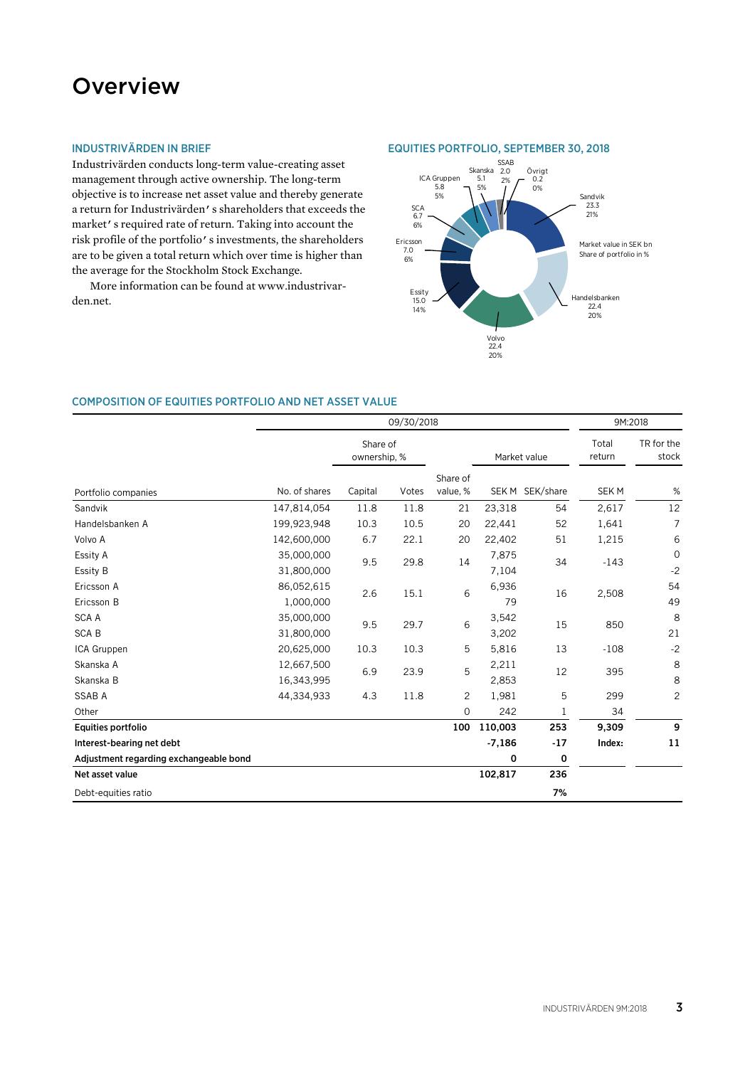# **Overview**

# INDUSTRIVÄRDEN IN BRIEF

Industrivärden conducts long-term value-creating asset management through active ownership. The long-term objective is to increase net asset value and thereby generate a return for Industrivärden's shareholders that exceeds the market's required rate of return. Taking into account the risk profile of the portfolio's investments, the shareholders are to be given a total return which over time is higher than the average for the Stockholm Stock Exchange.

More information can be found at www.industrivarden.net.





# COMPOSITION OF EQUITIES PORTFOLIO AND NET ASSET VALUE

|                                        | 09/30/2018               |                          |       |                      |                |                 | 9M:2018          |                     |
|----------------------------------------|--------------------------|--------------------------|-------|----------------------|----------------|-----------------|------------------|---------------------|
|                                        |                          | Share of<br>ownership, % |       |                      |                | Market value    | Total<br>return  | TR for the<br>stock |
| Portfolio companies                    | No. of shares            | Capital                  | Votes | Share of<br>value, % |                | SEK M SEK/share | SEK <sub>M</sub> | %                   |
| Sandvik                                | 147,814,054              | 11.8                     | 11.8  | 21                   | 23,318         | 54              | 2,617            | 12                  |
| Handelsbanken A                        | 199,923,948              | 10.3                     | 10.5  | 20                   | 22,441         | 52              | 1,641            | $\overline{7}$      |
| Volvo A                                | 142,600,000              | 6.7                      | 22.1  | 20                   | 22,402         | 51              | 1,215            | 6                   |
| Essity A<br>Essity B                   | 35,000,000<br>31,800,000 | 9.5                      | 29.8  | 14                   | 7,875<br>7,104 | 34              | $-143$           | $\mathbf 0$<br>$-2$ |
| Ericsson A<br>Ericsson B               | 86,052,615<br>1,000,000  | 2.6                      | 15.1  | 6                    | 6,936<br>79    | 16              | 2,508            | 54<br>49            |
| <b>SCAA</b><br><b>SCAB</b>             | 35,000,000<br>31,800,000 | 9.5                      | 29.7  | 6                    | 3,542<br>3,202 | 15              | 850              | 8<br>21             |
| ICA Gruppen                            | 20,625,000               | 10.3                     | 10.3  | 5                    | 5,816          | 13              | $-108$           | $-2$                |
| Skanska A<br>Skanska B                 | 12,667,500<br>16,343,995 | 6.9                      | 23.9  | 5                    | 2,211<br>2,853 | 12              | 395              | 8<br>8              |
| <b>SSAB A</b>                          | 44,334,933               | 4.3                      | 11.8  | $\overline{c}$       | 1,981          | 5               | 299              | $\mathbf{2}$        |
| Other                                  |                          |                          |       | $\mathbf 0$          | 242            | $\mathbf 1$     | 34               |                     |
| Equities portfolio                     |                          |                          |       | 100                  | 110,003        | 253             | 9,309            | 9                   |
| Interest-bearing net debt              |                          |                          |       |                      | $-7,186$       | $-17$           | Index:           | 11                  |
| Adjustment regarding exchangeable bond |                          |                          |       |                      | 0              | 0               |                  |                     |
| Net asset value                        |                          |                          |       |                      | 102,817        | 236             |                  |                     |
| Debt-equities ratio                    |                          |                          |       |                      |                | 7%              |                  |                     |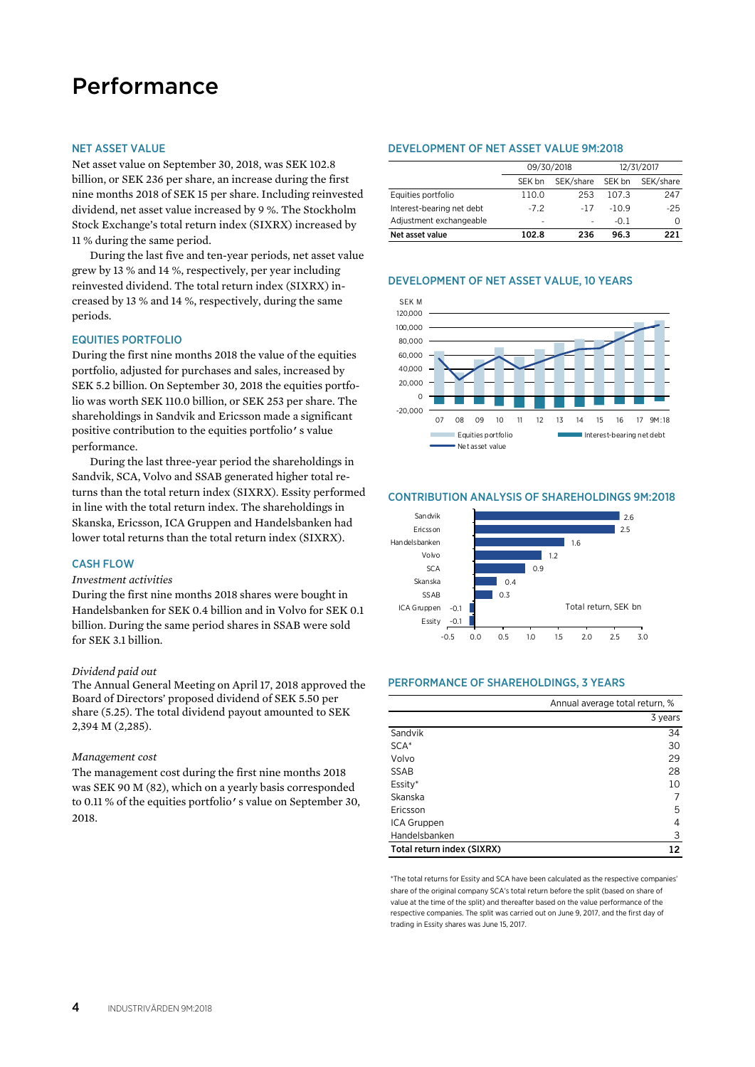# Performance

#### NET ASSET VALUE

Net asset value on September 30, 2018, was SEK 102.8 billion, or SEK 236 per share, an increase during the first nine months 2018 of SEK 15 per share. Including reinvested dividend, net asset value increased by 9 %. The Stockholm Stock Exchange's total return index (SIXRX) increased by 11 % during the same period.

During the last five and ten-year periods, net asset value grew by 13 % and 14 %, respectively, per year including reinvested dividend. The total return index (SIXRX) increased by 13 % and 14 %, respectively, during the same periods.

### EQUITIES PORTFOLIO

During the first nine months 2018 the value of the equities portfolio, adjusted for purchases and sales, increased by SEK 5.2 billion. On September 30, 2018 the equities portfolio was worth SEK 110.0 billion, or SEK 253 per share. The shareholdings in Sandvik and Ericsson made a significant positive contribution to the equities portfolio's value performance.

During the last three-year period the shareholdings in Sandvik, SCA, Volvo and SSAB generated higher total returns than the total return index (SIXRX). Essity performed in line with the total return index. The shareholdings in Skanska, Ericsson, ICA Gruppen and Handelsbanken had lower total returns than the total return index (SIXRX).

# CASH FLOW

### *Investment activities*

During the first nine months 2018 shares were bought in Handelsbanken for SEK 0.4 billion and in Volvo for SEK 0.1 billion. During the same period shares in SSAB were sold for SEK 3.1 billion.

#### *Dividend paid out*

The Annual General Meeting on April 17, 2018 approved the Board of Directors' proposed dividend of SEK 5.50 per share (5.25). The total dividend payout amounted to SEK 2,394 M (2,285).

#### *Management cost*

The management cost during the first nine months 2018 was SEK 90 M (82), which on a yearly basis corresponded to 0.11 % of the equities portfolio's value on September 30, 2018.

#### DEVELOPMENT OF NET ASSET VALUE 9M:2018

|                           |                          | 09/30/2018 | 12/31/2017 |           |  |
|---------------------------|--------------------------|------------|------------|-----------|--|
|                           | SEK bn                   | SEK/share  | SEK bn     | SEK/share |  |
| Equities portfolio        | 110.0                    | 253        | 107.3      | 247       |  |
| Interest-bearing net debt | $-7.2$                   | -17        | $-109$     | $-25$     |  |
| Adjustment exchangeable   | $\overline{\phantom{a}}$ | -          | $-0.1$     | O         |  |
| Net asset value           | 102.8                    | 236        | 96.3       | つつ 1      |  |

#### DEVELOPMENT OF NET ASSET VALUE, 10 YEARS



#### CONTRIBUTION ANALYSIS OF SHAREHOLDINGS 9M:2018



#### PERFORMANCE OF SHAREHOLDINGS, 3 YEARS

|                            | Annual average total return, % |  |
|----------------------------|--------------------------------|--|
|                            | 3 years                        |  |
| Sandvik                    | 34                             |  |
| $SCA*$                     | 30                             |  |
| Volvo                      | 29                             |  |
| <b>SSAB</b>                | 28                             |  |
| Essity*                    | 10                             |  |
| Skanska                    |                                |  |
| Ericsson                   | 5                              |  |
| ICA Gruppen                | 4                              |  |
| Handelsbanken              | 3                              |  |
| Total return index (SIXRX) | 12                             |  |

\*The total returns for Essity and SCA have been calculated as the respective companies' share of the original company SCA's total return before the split (based on share of value at the time of the split) and thereafter based on the value performance of the respective companies. The split was carried out on June 9, 2017, and the first day of trading in Essity shares was June 15, 2017.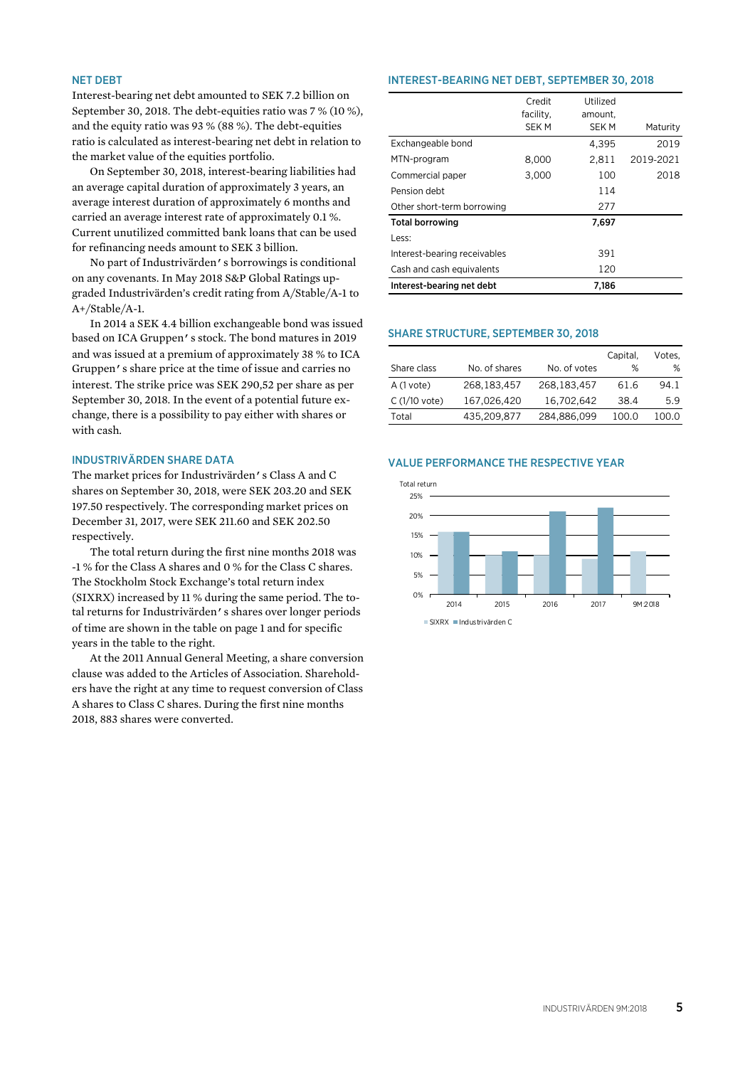#### NET DEBT

Interest-bearing net debt amounted to SEK 7.2 billion on September 30, 2018. The debt-equities ratio was 7 % (10 %), and the equity ratio was 93 % (88 %). The debt-equities ratio is calculated as interest-bearing net debt in relation to the market value of the equities portfolio.

On September 30, 2018, interest-bearing liabilities had an average capital duration of approximately 3 years, an average interest duration of approximately 6 months and carried an average interest rate of approximately 0.1 %. Current unutilized committed bank loans that can be used for refinancing needs amount to SEK 3 billion.

No part of Industrivärden's borrowings is conditional on any covenants. In May 2018 S&P Global Ratings upgraded Industrivärden's credit rating from A/Stable/A-1 to A+/Stable/A-1.

In 2014 a SEK 4.4 billion exchangeable bond was issued based on ICA Gruppen's stock. The bond matures in 2019 and was issued at a premium of approximately 38 % to ICA Gruppen's share price at the time of issue and carries no interest. The strike price was SEK 290,52 per share as per September 30, 2018. In the event of a potential future exchange, there is a possibility to pay either with shares or with cash.

#### INDUSTRIVÄRDEN SHARE DATA

The market prices for Industrivärden's Class A and C shares on September 30, 2018, were SEK 203.20 and SEK 197.50 respectively. The corresponding market prices on December 31, 2017, were SEK 211.60 and SEK 202.50 respectively.

The total return during the first nine months 2018 was -1 % for the Class A shares and 0 % for the Class C shares. The Stockholm Stock Exchange's total return index (SIXRX) increased by 11 % during the same period. The total returns for Industrivärden's shares over longer periods of time are shown in the table on page 1 and for specific years in the table to the right.

At the 2011 Annual General Meeting, a share conversion clause was added to the Articles of Association. Shareholders have the right at any time to request conversion of Class A shares to Class C shares. During the first nine months 2018, 883 shares were converted.

#### INTEREST-BEARING NET DEBT, SEPTEMBER 30, 2018

|                              | Credit      | Utilized    |           |
|------------------------------|-------------|-------------|-----------|
|                              | facility,   | amount,     |           |
|                              | <b>SEKM</b> | <b>SEKM</b> | Maturity  |
| Exchangeable bond            |             | 4,395       | 2019      |
| MTN-program                  | 8,000       | 2,811       | 2019-2021 |
| Commercial paper             | 3,000       | 100         | 2018      |
| Pension debt                 |             | 114         |           |
| Other short-term borrowing   |             | 277         |           |
| <b>Total borrowing</b>       |             | 7,697       |           |
| Less:                        |             |             |           |
| Interest-bearing receivables |             | 391         |           |
| Cash and cash equivalents    |             | 120         |           |
| Interest-bearing net debt    |             | 7.186       |           |

#### SHARE STRUCTURE, SEPTEMBER 30, 2018

|                |               |              | Capital, | Votes. |
|----------------|---------------|--------------|----------|--------|
| Share class    | No. of shares | No. of votes | %        | %      |
| $A(1$ vote)    | 268, 183, 457 | 268,183,457  | 61.6     | 94.1   |
| $C(1/10$ vote) | 167,026,420   | 16,702,642   | 38.4     | 5.9    |
| Total          | 435,209,877   | 284,886,099  | 100.0    | 100.0  |

#### VALUE PERFORMANCE THE RESPECTIVE YEAR

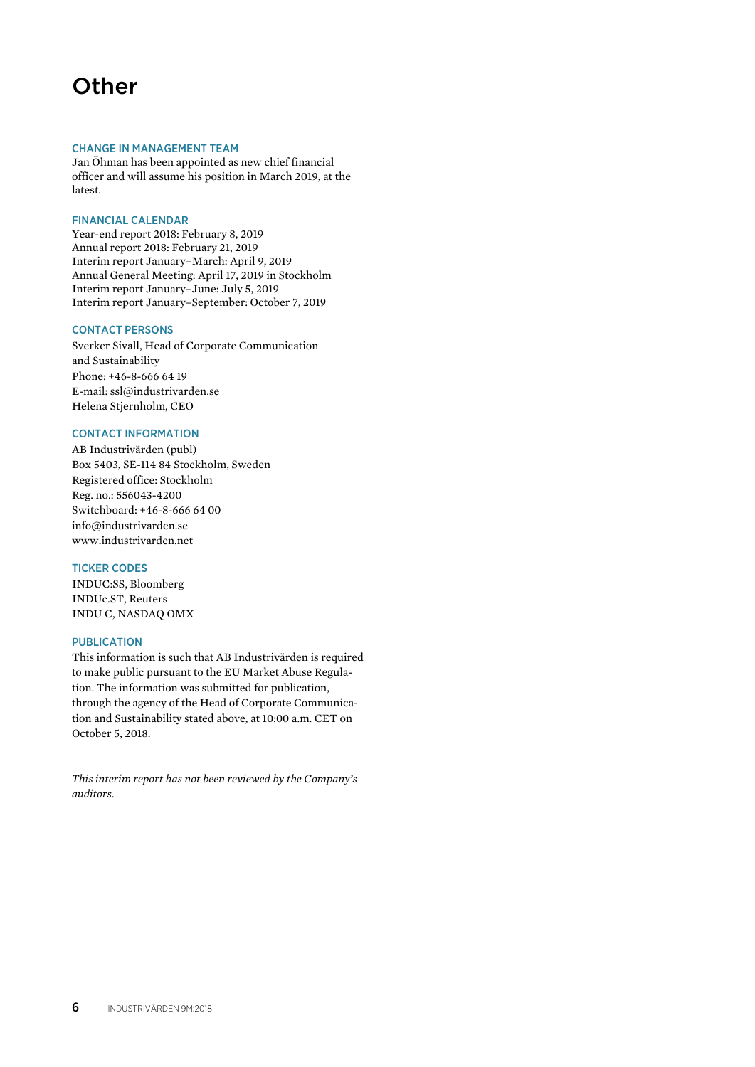# **Other**

#### CHANGE IN MANAGEMENT TEAM

Jan Öhman has been appointed as new chief financial officer and will assume his position in March 2019, at the latest.

# FINANCIAL CALENDAR

Year-end report 2018: February 8, 2019 Annual report 2018: February 21, 2019 Interim report January–March: April 9, 2019 Annual General Meeting: April 17, 2019 in Stockholm Interim report January–June: July 5, 2019 Interim report January–September: October 7, 2019

#### CONTACT PERSONS

Sverker Sivall, Head of Corporate Communication and Sustainability Phone: +46-8-666 64 19 E-mail: ssl@industrivarden.se Helena Stjernholm, CEO

### CONTACT INFORMATION

AB Industrivärden (publ) Box 5403, SE-114 84 Stockholm, Sweden Registered office: Stockholm Reg. no.: 556043-4200 Switchboard: +46-8-666 64 00 info@industrivarden.se www.industrivarden.net

# TICKER CODES

INDUC:SS, Bloomberg INDUc.ST, Reuters INDU C, NASDAQ OMX

# **PUBLICATION**

This information is such that AB Industrivärden is required to make public pursuant to the EU Market Abuse Regulation. The information was submitted for publication, through the agency of the Head of Corporate Communication and Sustainability stated above, at 10:00 a.m. CET on October 5, 2018.

*This interim report has not been reviewed by the Company's auditors.*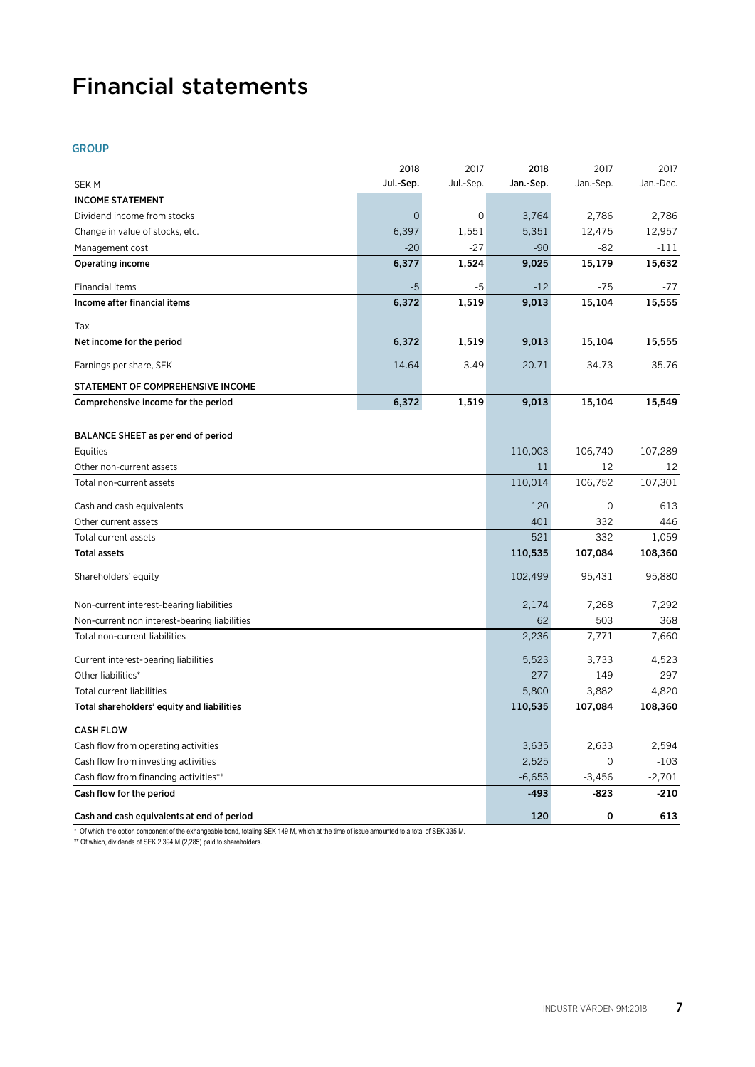# Financial statements

# GROUP

|                                              | 2018        | 2017      | 2018      | 2017      | 2017      |
|----------------------------------------------|-------------|-----------|-----------|-----------|-----------|
| <b>SEKM</b>                                  | Jul.-Sep.   | Jul.-Sep. | Jan.-Sep. | Jan.-Sep. | Jan.-Dec. |
| <b>INCOME STATEMENT</b>                      |             |           |           |           |           |
| Dividend income from stocks                  | $\mathbf 0$ | 0         | 3,764     | 2,786     | 2,786     |
| Change in value of stocks, etc.              | 6,397       | 1,551     | 5,351     | 12,475    | 12,957    |
| Management cost                              | $-20$       | $-27$     | $-90$     | $-82$     | $-111$    |
| <b>Operating income</b>                      | 6,377       | 1,524     | 9,025     | 15,179    | 15,632    |
| Financial items                              | $-5$        | -5        | $-12$     | $-75$     | -77       |
| Income after financial items                 | 6,372       | 1,519     | 9,013     | 15,104    | 15,555    |
| Tax                                          |             |           |           |           |           |
| Net income for the period                    | 6,372       | 1,519     | 9,013     | 15,104    | 15,555    |
| Earnings per share, SEK                      | 14.64       | 3.49      | 20.71     | 34.73     | 35.76     |
| STATEMENT OF COMPREHENSIVE INCOME            |             |           |           |           |           |
| Comprehensive income for the period          | 6,372       | 1,519     | 9,013     | 15,104    | 15,549    |
|                                              |             |           |           |           |           |
| BALANCE SHEET as per end of period           |             |           |           |           |           |
| Equities                                     |             |           | 110,003   | 106,740   | 107,289   |
| Other non-current assets                     |             |           | 11        | 12        | 12        |
| Total non-current assets                     |             |           | 110,014   | 106,752   | 107,301   |
| Cash and cash equivalents                    |             |           | 120       | 0         | 613       |
| Other current assets                         |             |           | 401       | 332       | 446       |
| Total current assets                         |             |           | 521       | 332       | 1,059     |
| <b>Total assets</b>                          |             |           | 110,535   | 107,084   | 108,360   |
| Shareholders' equity                         |             |           | 102,499   | 95,431    | 95,880    |
| Non-current interest-bearing liabilities     |             |           | 2,174     | 7,268     | 7,292     |
| Non-current non interest-bearing liabilities |             |           | 62        | 503       | 368       |
| Total non-current liabilities                |             |           | 2,236     | 7,771     | 7,660     |
| Current interest-bearing liabilities         |             |           | 5,523     | 3,733     | 4,523     |
| Other liabilities*                           |             |           | 277       | 149       | 297       |
| Total current liabilities                    |             |           | 5,800     | 3,882     | 4,820     |
| Total shareholders' equity and liabilities   |             |           | 110,535   | 107,084   | 108,360   |
| <b>CASH FLOW</b>                             |             |           |           |           |           |
| Cash flow from operating activities          |             |           | 3,635     | 2,633     | 2,594     |
| Cash flow from investing activities          |             |           | 2,525     | 0         | $-103$    |
| Cash flow from financing activities**        |             |           | $-6,653$  | $-3,456$  | $-2,701$  |
| Cash flow for the period                     |             |           | $-493$    | $-823$    | $-210$    |
| Cash and cash equivalents at end of period   |             |           | 120       | 0         | 613       |

\* Of which, the option component of the exhangeable bond, totaling SEK 149 M, which at the time of issue amounted to a total of SEK 335 M.

\*\* Of which, dividends of SEK 2,394 M (2,285) paid to shareholders.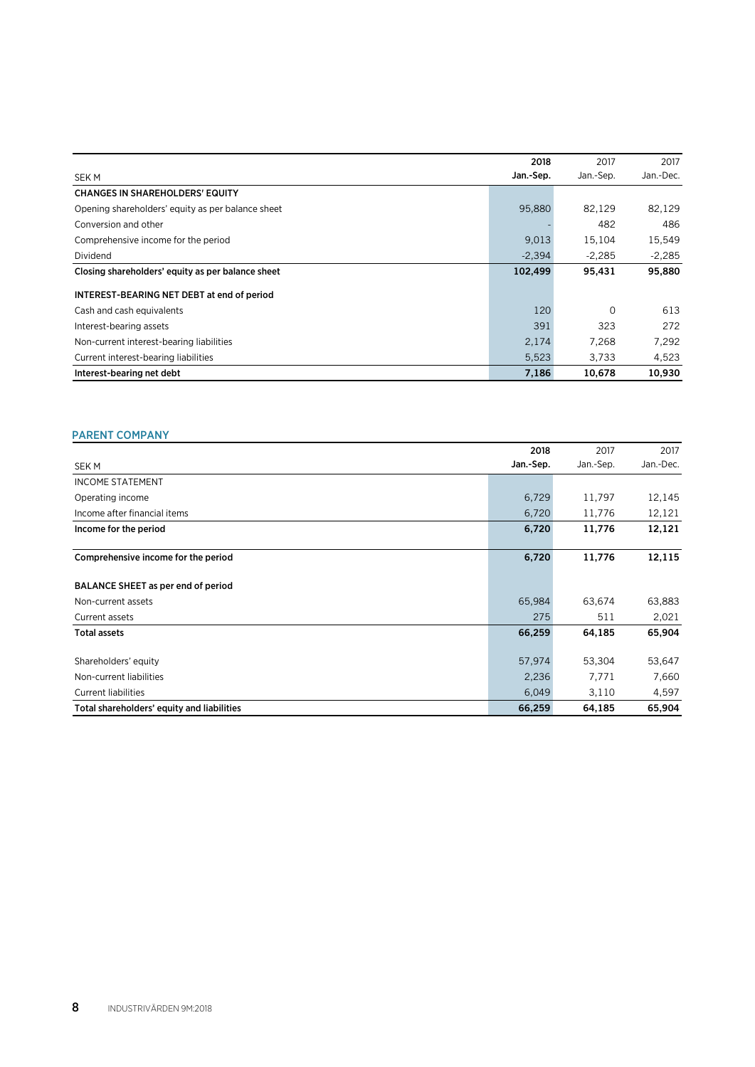|                                                   | 2018      | 2017      | 2017      |
|---------------------------------------------------|-----------|-----------|-----------|
| <b>SEKM</b>                                       | Jan.-Sep. | Jan.-Sep. | Jan.-Dec. |
| <b>CHANGES IN SHAREHOLDERS' EQUITY</b>            |           |           |           |
| Opening shareholders' equity as per balance sheet | 95,880    | 82,129    | 82,129    |
| Conversion and other                              |           | 482       | 486       |
| Comprehensive income for the period               | 9,013     | 15,104    | 15,549    |
| Dividend                                          | $-2.394$  | $-2.285$  | $-2.285$  |
| Closing shareholders' equity as per balance sheet | 102,499   | 95,431    | 95,880    |
| INTEREST-BEARING NET DEBT at end of period        |           |           |           |
| Cash and cash equivalents                         | 120       | $\Omega$  | 613       |
| Interest-bearing assets                           | 391       | 323       | 272       |
| Non-current interest-bearing liabilities          | 2,174     | 7,268     | 7,292     |
| Current interest-bearing liabilities              | 5,523     | 3,733     | 4,523     |
| Interest-bearing net debt                         | 7,186     | 10.678    | 10.930    |

# PARENT COMPANY

|                                            | 2018      | 2017     | 2017      |
|--------------------------------------------|-----------|----------|-----------|
| SEK M                                      | Jan.-Sep. | Jan-Sep. | Jan.-Dec. |
| <b>INCOME STATEMENT</b>                    |           |          |           |
| Operating income                           | 6,729     | 11,797   | 12,145    |
| Income after financial items               | 6,720     | 11,776   | 12,121    |
| Income for the period                      | 6,720     | 11,776   | 12,121    |
| Comprehensive income for the period        | 6,720     | 11,776   | 12,115    |
| BALANCE SHEET as per end of period         |           |          |           |
| Non-current assets                         | 65,984    | 63,674   | 63,883    |
| Current assets                             | 275       | 511      | 2,021     |
| <b>Total assets</b>                        | 66,259    | 64,185   | 65,904    |
| Shareholders' equity                       | 57,974    | 53,304   | 53,647    |
| Non-current liabilities                    | 2,236     | 7,771    | 7,660     |
| <b>Current liabilities</b>                 | 6,049     | 3,110    | 4,597     |
| Total shareholders' equity and liabilities | 66,259    | 64,185   | 65,904    |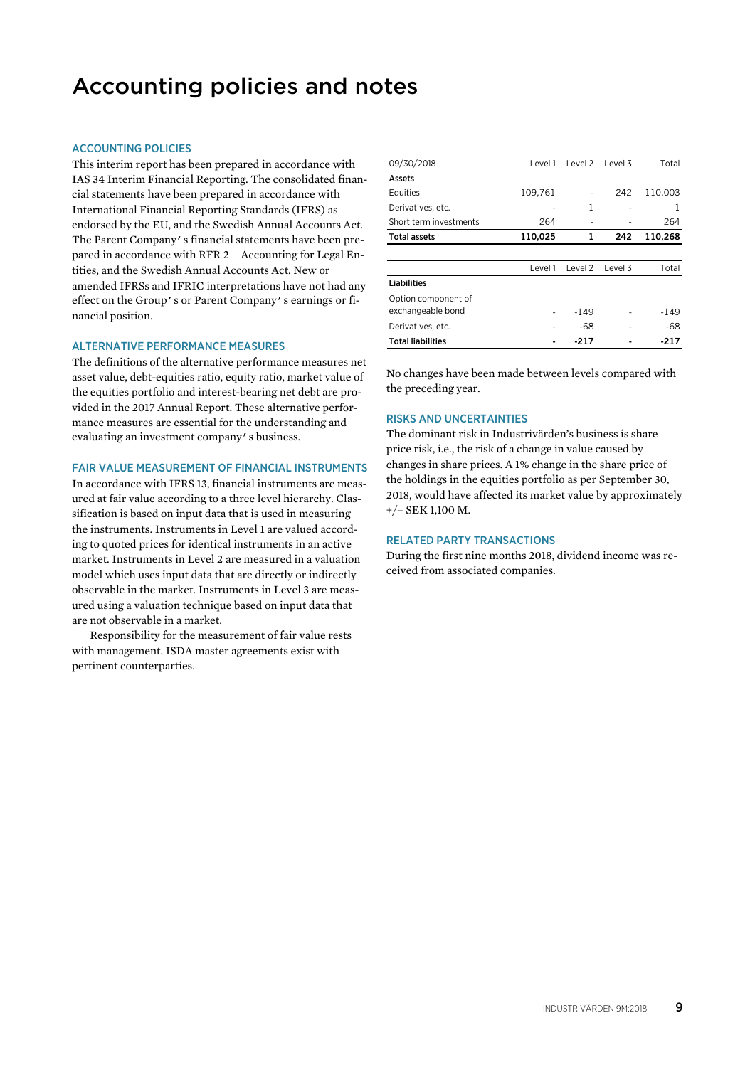# Accounting policies and notes

## ACCOUNTING POLICIES

This interim report has been prepared in accordance with IAS 34 Interim Financial Reporting. The consolidated financial statements have been prepared in accordance with International Financial Reporting Standards (IFRS) as endorsed by the EU, and the Swedish Annual Accounts Act. The Parent Company's financial statements have been prepared in accordance with RFR 2 – Accounting for Legal Entities, and the Swedish Annual Accounts Act. New or amended IFRSs and IFRIC interpretations have not had any effect on the Group's or Parent Company's earnings or financial position.

### ALTERNATIVE PERFORMANCE MEASURES

The definitions of the alternative performance measures net asset value, debt-equities ratio, equity ratio, market value of the equities portfolio and interest-bearing net debt are provided in the 2017 Annual Report. These alternative performance measures are essential for the understanding and evaluating an investment company's business.

# FAIR VALUE MEASUREMENT OF FINANCIAL INSTRUMENTS

In accordance with IFRS 13, financial instruments are measured at fair value according to a three level hierarchy. Classification is based on input data that is used in measuring the instruments. Instruments in Level 1 are valued according to quoted prices for identical instruments in an active market. Instruments in Level 2 are measured in a valuation model which uses input data that are directly or indirectly observable in the market. Instruments in Level 3 are measured using a valuation technique based on input data that are not observable in a market.

Responsibility for the measurement of fair value rests with management. ISDA master agreements exist with pertinent counterparties.

| 09/30/2018               | Level 1 | Level 2 | Level 3 | Total   |
|--------------------------|---------|---------|---------|---------|
| Assets                   |         |         |         |         |
| Equities                 | 109,761 |         | 242     | 110,003 |
| Derivatives, etc.        |         | 1       |         | 1       |
| Short term investments   | 264     |         |         | 264     |
| <b>Total assets</b>      | 110,025 | 1       | 242     | 110,268 |
|                          |         |         |         |         |
|                          | Level 1 | Level 2 | Level 3 | Total   |
| <b>Liabilities</b>       |         |         |         |         |
| Option component of      |         |         |         |         |
| exchangeable bond        |         | -149    |         | -149    |
| Derivatives, etc.        |         | -68     |         | -68     |
| <b>Total liabilities</b> |         | $-217$  |         | $-217$  |

No changes have been made between levels compared with the preceding year.

### RISKS AND UNCERTAINTIES

The dominant risk in Industrivärden's business is share price risk, i.e., the risk of a change in value caused by changes in share prices. A 1% change in the share price of the holdings in the equities portfolio as per September 30, 2018, would have affected its market value by approximately +/– SEK 1,100 M.

#### RELATED PARTY TRANSACTIONS

During the first nine months 2018, dividend income was received from associated companies.